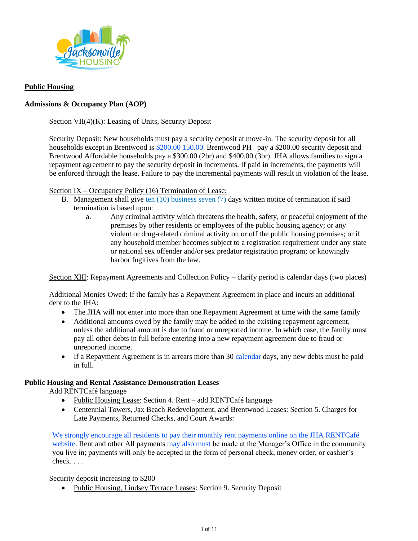

### **Public Housing**

### **Admissions & Occupancy Plan (AOP)**

Section VII(4)(K): Leasing of Units, Security Deposit

Security Deposit: New households must pay a security deposit at move-in. The security deposit for all households except in Brentwood is \$200.00 150.00. Brentwood PH pay a \$200.00 security deposit and Brentwood Affordable households pay a \$300.00 (2br) and \$400.00 (3br). JHA allows families to sign a repayment agreement to pay the security deposit in increments. If paid in increments, the payments will be enforced through the lease. Failure to pay the incremental payments will result in violation of the lease.

Section IX – Occupancy Policy (16) Termination of Lease:

- B. Management shall give ten  $(10)$  business seven  $(7)$  days written notice of termination if said termination is based upon:
	- a. Any criminal activity which threatens the health, safety, or peaceful enjoyment of the premises by other residents or employees of the public housing agency; or any violent or drug-related criminal activity on or off the public housing premises; or if any household member becomes subject to a registration requirement under any state or national sex offender and/or sex predator registration program; or knowingly harbor fugitives from the law.

Section XIII: Repayment Agreements and Collection Policy – clarify period is calendar days (two places)

Additional Monies Owed: If the family has a Repayment Agreement in place and incurs an additional debt to the JHA:

- The JHA will not enter into more than one Repayment Agreement at time with the same family
- Additional amounts owed by the family may be added to the existing repayment agreement, unless the additional amount is due to fraud or unreported income. In which case, the family must pay all other debts in full before entering into a new repayment agreement due to fraud or unreported income.
- If a Repayment Agreement is in arrears more than 30 calendar days, any new debts must be paid in full.

### **Public Housing and Rental Assistance Demonstration Leases**

Add RENTCafé language

- Public Housing Lease: Section 4. Rent add RENTCafé language
- Centennial Towers, Jax Beach Redevelopment, and Brentwood Leases: Section 5. Charges for Late Payments, Returned Checks, and Court Awards:

We strongly encourage all residents to pay their monthly rent payments online on the JHA RENTCafé website. Rent and other All payments may also must be made at the Manager's Office in the community you live in; payments will only be accepted in the form of personal check, money order, or cashier's check. . . .

Security deposit increasing to \$200

• Public Housing, Lindsey Terrace Leases: Section 9. Security Deposit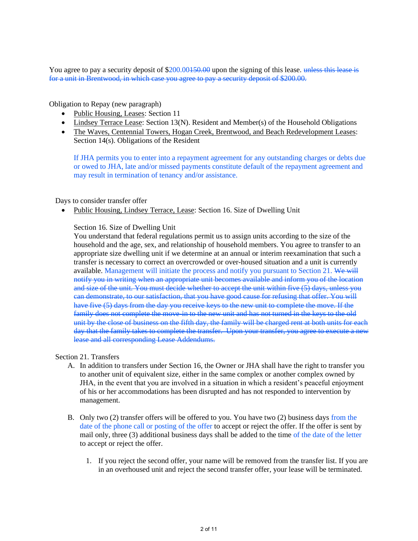You agree to pay a security deposit of \$200,00450.00 upon the signing of this lease. unless this lease is for a unit in Brentwood, in which case you agree to pay a security deposit of \$200.00.

Obligation to Repay (new paragraph)

- Public Housing, Leases: Section 11
- Lindsey Terrace Lease: Section 13(N). Resident and Member(s) of the Household Obligations
- The Waves, Centennial Towers, Hogan Creek, Brentwood, and Beach Redevelopment Leases: Section 14(s). Obligations of the Resident

If JHA permits you to enter into a repayment agreement for any outstanding charges or debts due or owed to JHA, late and/or missed payments constitute default of the repayment agreement and may result in termination of tenancy and/or assistance.

### Days to consider transfer offer

• Public Housing, Lindsey Terrace, Lease: Section 16. Size of Dwelling Unit

### Section 16. Size of Dwelling Unit

You understand that federal regulations permit us to assign units according to the size of the household and the age, sex, and relationship of household members. You agree to transfer to an appropriate size dwelling unit if we determine at an annual or interim reexamination that such a transfer is necessary to correct an overcrowded or over-housed situation and a unit is currently available. Management will initiate the process and notify you pursuant to Section 21. We will notify you in writing when an appropriate unit becomes available and inform you of the location and size of the unit. You must decide whether to accept the unit within five (5) days, unless you can demonstrate, to our satisfaction, that you have good cause for refusing that offer. You will have five (5) days from the day you receive keys to the new unit to complete the move. If the family does not complete the move in to the new unit and has not turned in the keys to the old unit by the close of business on the fifth day, the family will be charged rent at both units for each day that the family takes to complete the transfer. Upon your transfer, you agree to execute a new lease and all corresponding Lease Addendums.

#### Section 21. Transfers

- A. In addition to transfers under Section 16, the Owner or JHA shall have the right to transfer you to another unit of equivalent size, either in the same complex or another complex owned by JHA, in the event that you are involved in a situation in which a resident's peaceful enjoyment of his or her accommodations has been disrupted and has not responded to intervention by management.
- B. Only two (2) transfer offers will be offered to you. You have two (2) business days from the date of the phone call or posting of the offer to accept or reject the offer. If the offer is sent by mail only, three (3) additional business days shall be added to the time of the date of the letter to accept or reject the offer.
	- 1. If you reject the second offer, your name will be removed from the transfer list. If you are in an overhoused unit and reject the second transfer offer, your lease will be terminated.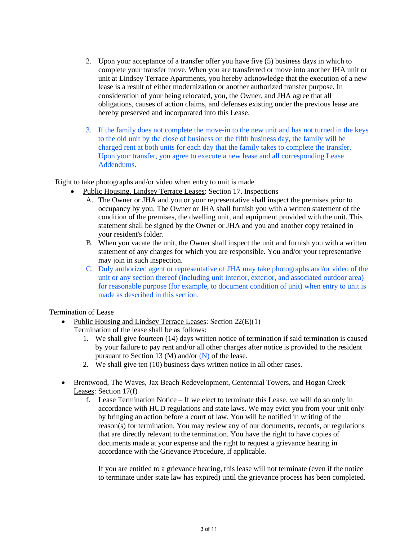- 2. Upon your acceptance of a transfer offer you have five (5) business days in which to complete your transfer move. When you are transferred or move into another JHA unit or unit at Lindsey Terrace Apartments, you hereby acknowledge that the execution of a new lease is a result of either modernization or another authorized transfer purpose. In consideration of your being relocated, you, the Owner, and JHA agree that all obligations, causes of action claims, and defenses existing under the previous lease are hereby preserved and incorporated into this Lease.
- 3. If the family does not complete the move-in to the new unit and has not turned in the keys to the old unit by the close of business on the fifth business day, the family will be charged rent at both units for each day that the family takes to complete the transfer. Upon your transfer, you agree to execute a new lease and all corresponding Lease Addendums.

Right to take photographs and/or video when entry to unit is made

- Public Housing, Lindsey Terrace Leases: Section 17. Inspections
	- A. The Owner or JHA and you or your representative shall inspect the premises prior to occupancy by you. The Owner or JHA shall furnish you with a written statement of the condition of the premises, the dwelling unit, and equipment provided with the unit. This statement shall be signed by the Owner or JHA and you and another copy retained in your resident's folder.
	- B. When you vacate the unit, the Owner shall inspect the unit and furnish you with a written statement of any charges for which you are responsible. You and/or your representative may join in such inspection.
	- C. Duly authorized agent or representative of JHA may take photographs and/or video of the unit or any section thereof (including unit interior, exterior, and associated outdoor area) for reasonable purpose (for example, to document condition of unit) when entry to unit is made as described in this section.

Termination of Lease

- Public Housing and Lindsey Terrace Leases: Section 22(E)(1)
	- Termination of the lease shall be as follows:
		- 1. We shall give fourteen (14) days written notice of termination if said termination is caused by your failure to pay rent and/or all other charges after notice is provided to the resident pursuant to Section 13 (M) and/or  $(N)$  of the lease.
		- 2. We shall give ten (10) business days written notice in all other cases.
- Brentwood, The Waves, Jax Beach Redevelopment, Centennial Towers, and Hogan Creek Leases: Section 17(f)
	- f. Lease Termination Notice If we elect to terminate this Lease, we will do so only in accordance with HUD regulations and state laws. We may evict you from your unit only by bringing an action before a court of law. You will be notified in writing of the reason(s) for termination. You may review any of our documents, records, or regulations that are directly relevant to the termination. You have the right to have copies of documents made at your expense and the right to request a grievance hearing in accordance with the Grievance Procedure, if applicable.

If you are entitled to a grievance hearing, this lease will not terminate (even if the notice to terminate under state law has expired) until the grievance process has been completed.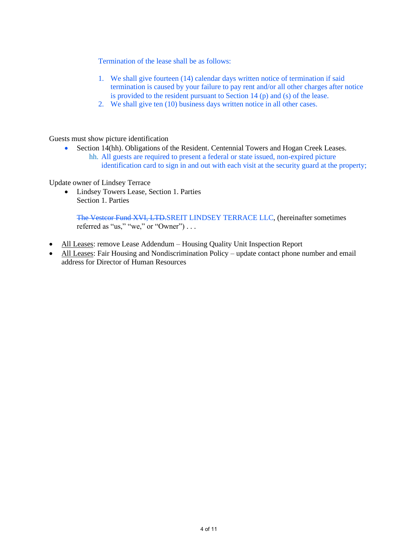Termination of the lease shall be as follows:

- 1. We shall give fourteen (14) calendar days written notice of termination if said termination is caused by your failure to pay rent and/or all other charges after notice is provided to the resident pursuant to Section 14 (p) and (s) of the lease.
- 2. We shall give ten (10) business days written notice in all other cases.

Guests must show picture identification

• Section 14(hh). Obligations of the Resident. Centennial Towers and Hogan Creek Leases. hh. All guests are required to present a federal or state issued, non-expired picture

identification card to sign in and out with each visit at the security guard at the property;

Update owner of Lindsey Terrace

• Lindsey Towers Lease, Section 1. Parties Section 1. Parties

The Vestcor Fund XVI, LTD.SREIT LINDSEY TERRACE LLC, (hereinafter sometimes referred as "us," "we," or "Owner") . . .

- All Leases: remove Lease Addendum Housing Quality Unit Inspection Report
- All Leases: Fair Housing and Nondiscrimination Policy update contact phone number and email address for Director of Human Resources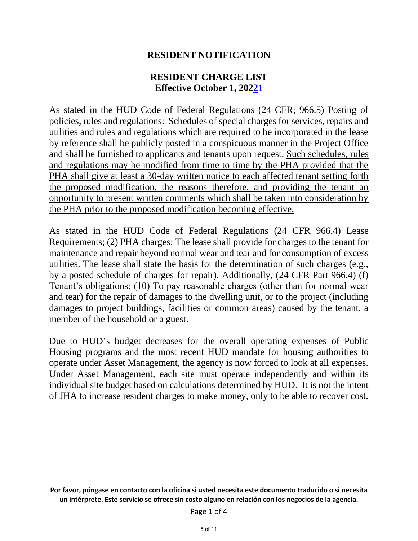### **RESIDENT NOTIFICATION**

### **RESIDENT CHARGE LIST Effective October 1, 20221**

As stated in the HUD Code of Federal Regulations (24 CFR; 966.5) Posting of policies, rules and regulations: Schedules of special charges for services, repairs and utilities and rules and regulations which are required to be incorporated in the lease by reference shall be publicly posted in a conspicuous manner in the Project Office and shall be furnished to applicants and tenants upon request. Such schedules, rules and regulations may be modified from time to time by the PHA provided that the PHA shall give at least a 30-day written notice to each affected tenant setting forth the proposed modification, the reasons therefore, and providing the tenant an opportunity to present written comments which shall be taken into consideration by the PHA prior to the proposed modification becoming effective.

As stated in the HUD Code of Federal Regulations (24 CFR 966.4) Lease Requirements; (2) PHA charges: The lease shall provide for charges to the tenant for maintenance and repair beyond normal wear and tear and for consumption of excess utilities. The lease shall state the basis for the determination of such charges (e.g., by a posted schedule of charges for repair). Additionally, (24 CFR Part 966.4) (f) Tenant's obligations; (10) To pay reasonable charges (other than for normal wear and tear) for the repair of damages to the dwelling unit, or to the project (including damages to project buildings, facilities or common areas) caused by the tenant, a member of the household or a guest.

Due to HUD's budget decreases for the overall operating expenses of Public Housing programs and the most recent HUD mandate for housing authorities to operate under Asset Management, the agency is now forced to look at all expenses. Under Asset Management, each site must operate independently and within its individual site budget based on calculations determined by HUD. It is not the intent of JHA to increase resident charges to make money, only to be able to recover cost.

**Por favor, póngase en contacto con la oficina si usted necesita este documento traducido o si necesita un intérprete. Este servicio se ofrece sin costo alguno en relación con los negocios de la agencia.**

Page 1 of 4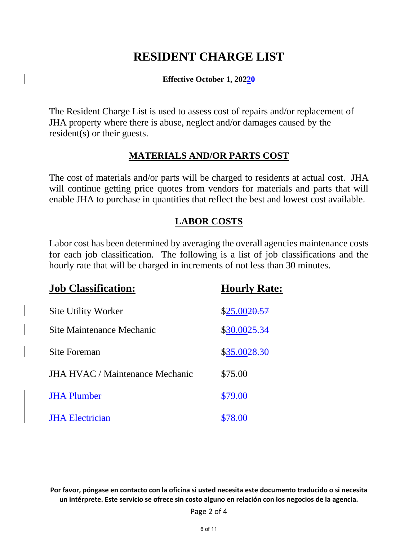# **RESIDENT CHARGE LIST**

**Effective October 1, 20220**

The Resident Charge List is used to assess cost of repairs and/or replacement of JHA property where there is abuse, neglect and/or damages caused by the resident(s) or their guests.

### **MATERIALS AND/OR PARTS COST**

The cost of materials and/or parts will be charged to residents at actual cost. JHA will continue getting price quotes from vendors for materials and parts that will enable JHA to purchase in quantities that reflect the best and lowest cost available.

### **LABOR COSTS**

Labor cost has been determined by averaging the overall agencies maintenance costs for each job classification. The following is a list of job classifications and the hourly rate that will be charged in increments of not less than 30 minutes.

| <b>Job Classification:</b>             | <b>Hourly Rate:</b>      |
|----------------------------------------|--------------------------|
| <b>Site Utility Worker</b>             | \$25.00 <del>20.57</del> |
| Site Maintenance Mechanic              | \$30.00 <del>25.34</del> |
| <b>Site Foreman</b>                    | \$35.0028.30             |
| <b>JHA HVAC / Maintenance Mechanic</b> | \$75.00                  |
|                                        |                          |
|                                        |                          |

**Por favor, póngase en contacto con la oficina si usted necesita este documento traducido o si necesita un intérprete. Este servicio se ofrece sin costo alguno en relación con los negocios de la agencia.**

Page 2 of 4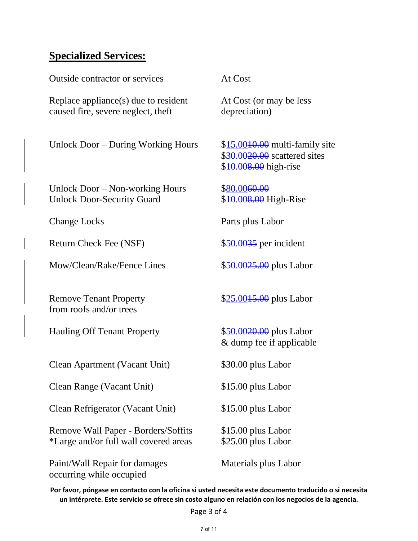# **Specialized Services:**

Outside contractor or services At Cost

Replace appliance(s) due to resident At Cost (or may be less caused fire, severe neglect, theft depreciation)

Unlock Door – During Working Hours \$15.00<del>10.00</del> multi-family site

Unlock Door – Non-working Hours \$80.0060.00 Unlock Door-Security Guard \$10.008.00 High-Rise

Return Check Fee (NSF)  $$50.0035$  per incident

Mow/Clean/Rake/Fence Lines \$50.0025.00 plus Labor

Remove Tenant Property  $$25.0015.00$  plus Labor from roofs and/or trees

Hauling Off Tenant Property \$50.0020.00 plus Labor

Clean Apartment (Vacant Unit) \$30.00 plus Labor

Clean Range (Vacant Unit) \$15.00 plus Labor

Clean Refrigerator (Vacant Unit) \$15.00 plus Labor

Remove Wall Paper - Borders/Soffits \$15.00 plus Labor \*Large and/or full wall covered areas \$25.00 plus Labor

Paint/Wall Repair for damages Materials plus Labor occurring while occupied

\$30.00<del>20.00</del> scattered sites \$10.008.00 high-rise

Change Locks Parts plus Labor

& dump fee if applicable

**Por favor, póngase en contacto con la oficina si usted necesita este documento traducido o si necesita un intérprete. Este servicio se ofrece sin costo alguno en relación con los negocios de la agencia.**

Page 3 of 4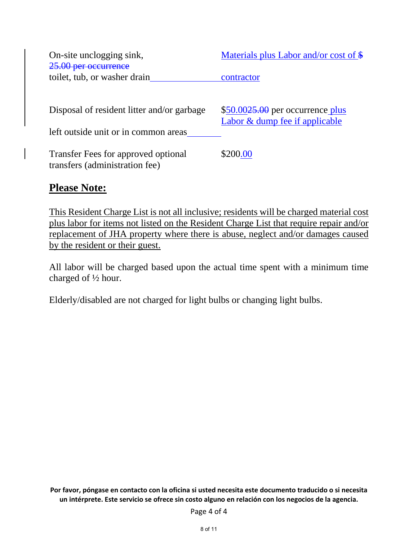| On-site unclogging sink,<br>25.00 per occurrence                      | Materials plus Labor and/or cost of $\frac{1}{2}$                     |
|-----------------------------------------------------------------------|-----------------------------------------------------------------------|
| toilet, tub, or washer drain                                          | contractor                                                            |
|                                                                       |                                                                       |
| Disposal of resident litter and/or garbage                            | $$50.0025.00$ per occurrence plus<br>Labor $&$ dump fee if applicable |
| left outside unit or in common areas                                  |                                                                       |
| Transfer Fees for approved optional<br>transfers (administration fee) | \$200.00                                                              |

## **Please Note:**

This Resident Charge List is not all inclusive; residents will be charged material cost plus labor for items not listed on the Resident Charge List that require repair and/or replacement of JHA property where there is abuse, neglect and/or damages caused by the resident or their guest.

All labor will be charged based upon the actual time spent with a minimum time charged of ½ hour.

Elderly/disabled are not charged for light bulbs or changing light bulbs.

**Por favor, póngase en contacto con la oficina si usted necesita este documento traducido o si necesita un intérprete. Este servicio se ofrece sin costo alguno en relación con los negocios de la agencia.**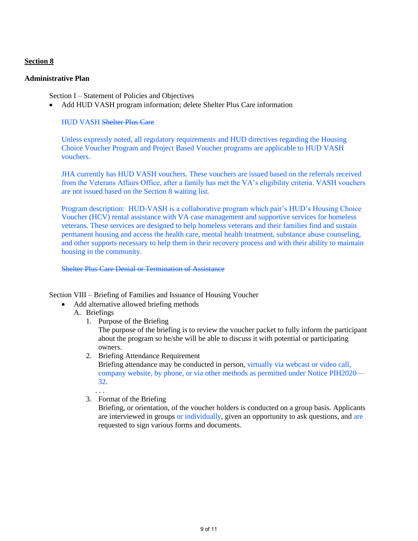### **Section 8**

### **Administrative Plan**

Section I – Statement of Policies and Objectives

• Add HUD VASH program information; delete Shelter Plus Care information

### HUD VASH Shelter Plus Care

Unless expressly noted, all regulatory requirements and HUD directives regarding the Housing Choice Voucher Program and Project Based Voucher programs are applicable to HUD VASH vouchers.

JHA currently has HUD VASH vouchers. These vouchers are issued based on the referrals received from the Veterans Affairs Office, after a family has met the VA's eligibility criteria. VASH vouchers are not issued based on the Section 8 waiting list.

Program description: HUD-VASH is a collaborative program which pair's HUD's Housing Choice Voucher (HCV) rental assistance with VA case management and supportive services for homeless veterans. These services are designed to help homeless veterans and their families find and sustain permanent housing and access the health care, mental health treatment, substance abuse counseling, and other supports necessary to help them in their recovery process and with their ability to maintain housing in the community.

Shelter Plus Care Denial or Termination of Assistance

Section VIII – Briefing of Families and Issuance of Housing Voucher

- Add alternative allowed briefing methods
	- A. Briefings
		- 1. Purpose of the Briefing

The purpose of the briefing is to review the voucher packet to fully inform the participant about the program so he/she will be able to discuss it with potential or participating owners.

2. Briefing Attendance Requirement

Briefing attendance may be conducted in person, virtually via webcast or video call, company website, by phone, or via other methods as permitted under Notice PIH2020— 32.

. . . 3. Format of the Briefing

> Briefing, or orientation, of the voucher holders is conducted on a group basis. Applicants are interviewed in groups or individually, given an opportunity to ask questions, and are requested to sign various forms and documents.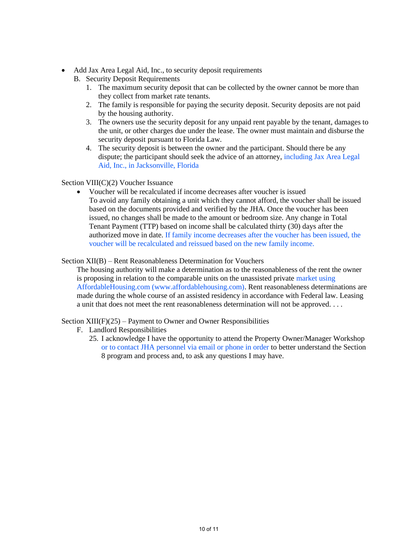- Add Jax Area Legal Aid, Inc., to security deposit requirements
	- B. Security Deposit Requirements
		- 1. The maximum security deposit that can be collected by the owner cannot be more than they collect from market rate tenants.
		- 2. The family is responsible for paying the security deposit. Security deposits are not paid by the housing authority.
		- 3. The owners use the security deposit for any unpaid rent payable by the tenant, damages to the unit, or other charges due under the lease. The owner must maintain and disburse the security deposit pursuant to Florida Law.
		- 4. The security deposit is between the owner and the participant. Should there be any dispute; the participant should seek the advice of an attorney, including Jax Area Legal Aid, Inc., in Jacksonville, Florida

### Section VIII(C)(2) Voucher Issuance

• Voucher will be recalculated if income decreases after voucher is issued To avoid any family obtaining a unit which they cannot afford, the voucher shall be issued based on the documents provided and verified by the JHA. Once the voucher has been issued, no changes shall be made to the amount or bedroom size. Any change in Total Tenant Payment (TTP) based on income shall be calculated thirty (30) days after the authorized move in date. If family income decreases after the voucher has been issued, the voucher will be recalculated and reissued based on the new family income.

### Section XII(B) – Rent Reasonableness Determination for Vouchers

The housing authority will make a determination as to the reasonableness of the rent the owner is proposing in relation to the comparable units on the unassisted private market using AffordableHousing.com (www.affordablehousing.com). Rent reasonableness determinations are made during the whole course of an assisted residency in accordance with Federal law. Leasing a unit that does not meet the rent reasonableness determination will not be approved. . . .

Section  $XIII(F)(25)$  – Payment to Owner and Owner Responsibilities

- F. Landlord Responsibilities
	- 25. I acknowledge I have the opportunity to attend the Property Owner/Manager Workshop or to contact JHA personnel via email or phone in order to better understand the Section 8 program and process and, to ask any questions I may have.